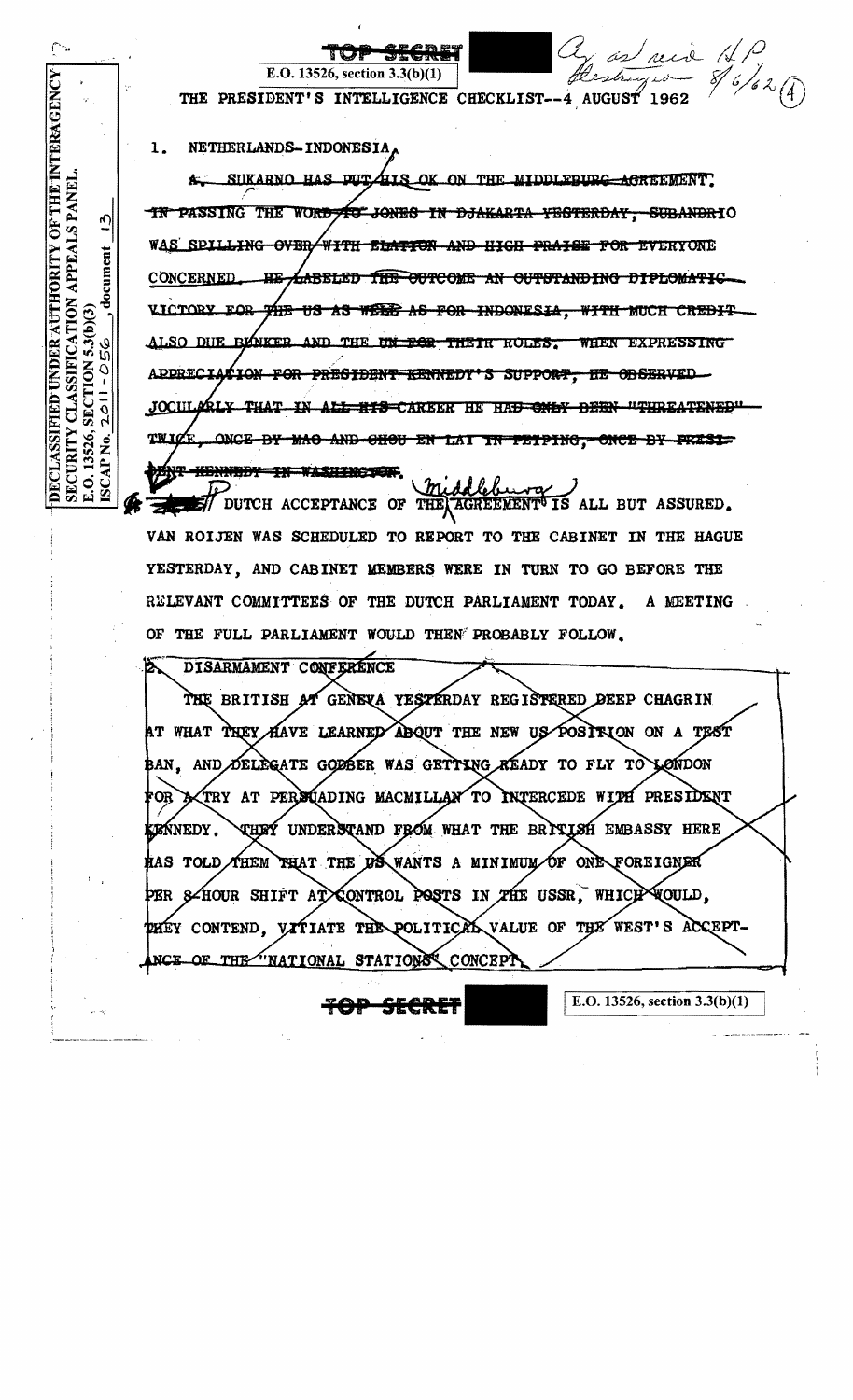

YESTERDAY, AND CABINET MEMBERS WERE IN TURN TO GO BEFORE THE RELEVANT COMMITTEES OF THE DUTCH PARLIAMENT TODAY. A MEETING OF THE FULL PARLIAMENT WOULD THEN PROBABLY FOLLOW.

DISARMAMENT CONFERENCE

THE BRITISH AT GENEVA YESTERDAY REGISTERED DEEP CHAGRIN AT WHAT TREY HAVE LEARNED ABOUT THE NEW US POSITION ON A TEST BAN, AND DELEGATE GODBER WAS GETTING AEADY TO FLY TO LONDON TRY AT PERSOADING MACMILLAN TO INTERCEDE WITH PRESIDENT FOR **THEY UNDERSTAND FROM WHAT THE BRITISH EMBASSY HERE ZEŃNEDY.** THEM THAT THE US WANTS A MINIMUM OF ONE FOREIGNER RAS TOLD, 8-HOUR SHIFT AT CONTROL POSTS IN THE USSR. WHICH **WOULD.** PER WEST'S ACCEPT-DHEY CONTEND. VITIATE THE POLITICAL VALUE OF THE OF THE "NATIONAL STATIONS" CONCEPT

E.O. 13526, section  $3.3(b)(1)$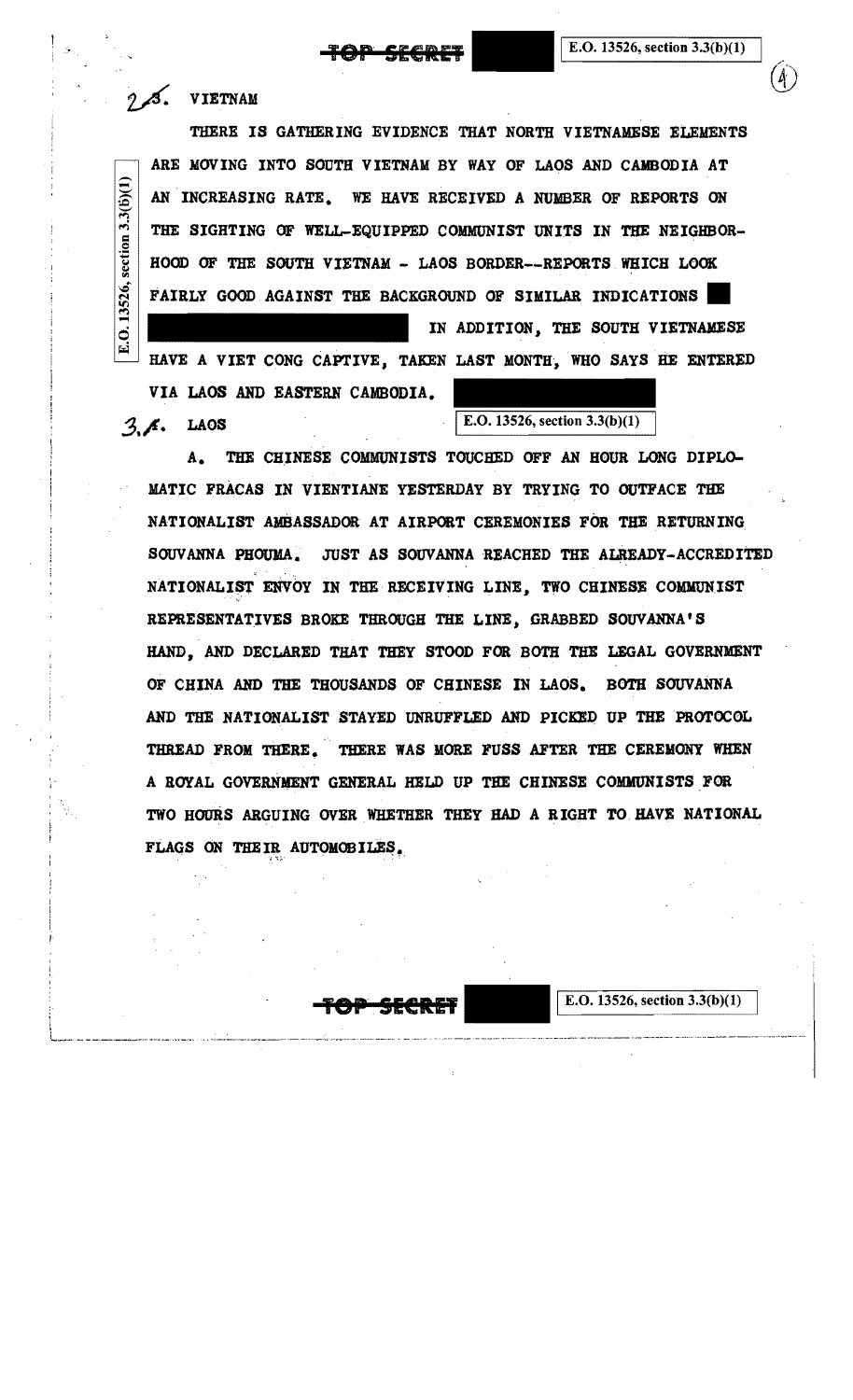$(4)$ 

## $\beta$ . VIETNAM

THERE IS GATHERING EVIDENCE THAT NORTH VIETNAMESE ELEMENTS  $\frac{1}{2}$ ARE MOVING INTO SOUTH VIETNAM BY WAY OF LAOS AND CAMBODIA AT AN INCREASING RATE. WE HAVE RECEIVED A NUMBER OF REPORTS ON  $\lim_{n \to \infty}$ THE SIGHTING OF WELL-EQUIPPED COMMUNIST UNITS IN THE NEIGHBOR HOOD OF THE SOUTH VIETNAM - LAOS BORDER--REPORTS WHICH LOOK FAIRLY GOOD AGAINST THE BACKGROUND OF SIMILAR INDICATIONS

IN ADDITION, THE SOUTH VIETNAMESE HAVE A VIET CONG CAPTIVE, TAKEN LAST MONTH, WHO SAYS HE ENTERED VIA LAOS AND EASTERN CAMBODIA.

 $3.3($ 

E.O. 13526,

**3. A.** LAOS E.O. 13526, section 3.3(b)(1)

A. THE CHINESE COMMUNISTS TOUCHED OFF AN HOUR LONG DIPLO-MATIC FRACAS IN VIENTIANE YESTERDAY BY TRYING TO OUTFACE THE NATIONALIST AMBASSADOR AT AIRPORT CEREMONIES FOR THE RETURNING, SOUVANNA PHOUMA. JUST AS SOUVANNA REACHED THE ALREADY-ACCREDITED NATIONALIST ENVOY IN THE RECEIVING LINE, TWO CHINESE COMMUNIST REPRESENTATIVES BROKE THROUGH THE LINE, GRABBED SOUVANNA'S HAND, AND DECLARED THAT THEY STOOD FOR BOTH THE LEGAL GOVERNMENT OF CH.INA AND THE THOUSANDS OF CHINESE IN LAOS. BOTH SOUVANNA AND THE NATIONALIST STAYED UNRUFFLED AND PICKED UP THE PROTOCOL THREAD FROM THERE. THERE WAS MORE FUSS AFTER THE CEREMONY WHEN A ROYAL GOVERNMENT GENERAL HELD UP THE CHINESE COMMUNISTS FOR TWO HOURS ARGUING OVER WHETHER THEY HAD A RIGHT TO HAVE NATIONAL FLAGS ON THEIR AUTOMOBILES.



E.O. 13526, section  $3.3(b)(1)$ 

- -

 $\alpha$  is coming a result of the constraint of the set of the set of the set of the set of the set of the set of the set of the set of the set of the set of the set of the set of the set of the set of the set of the set of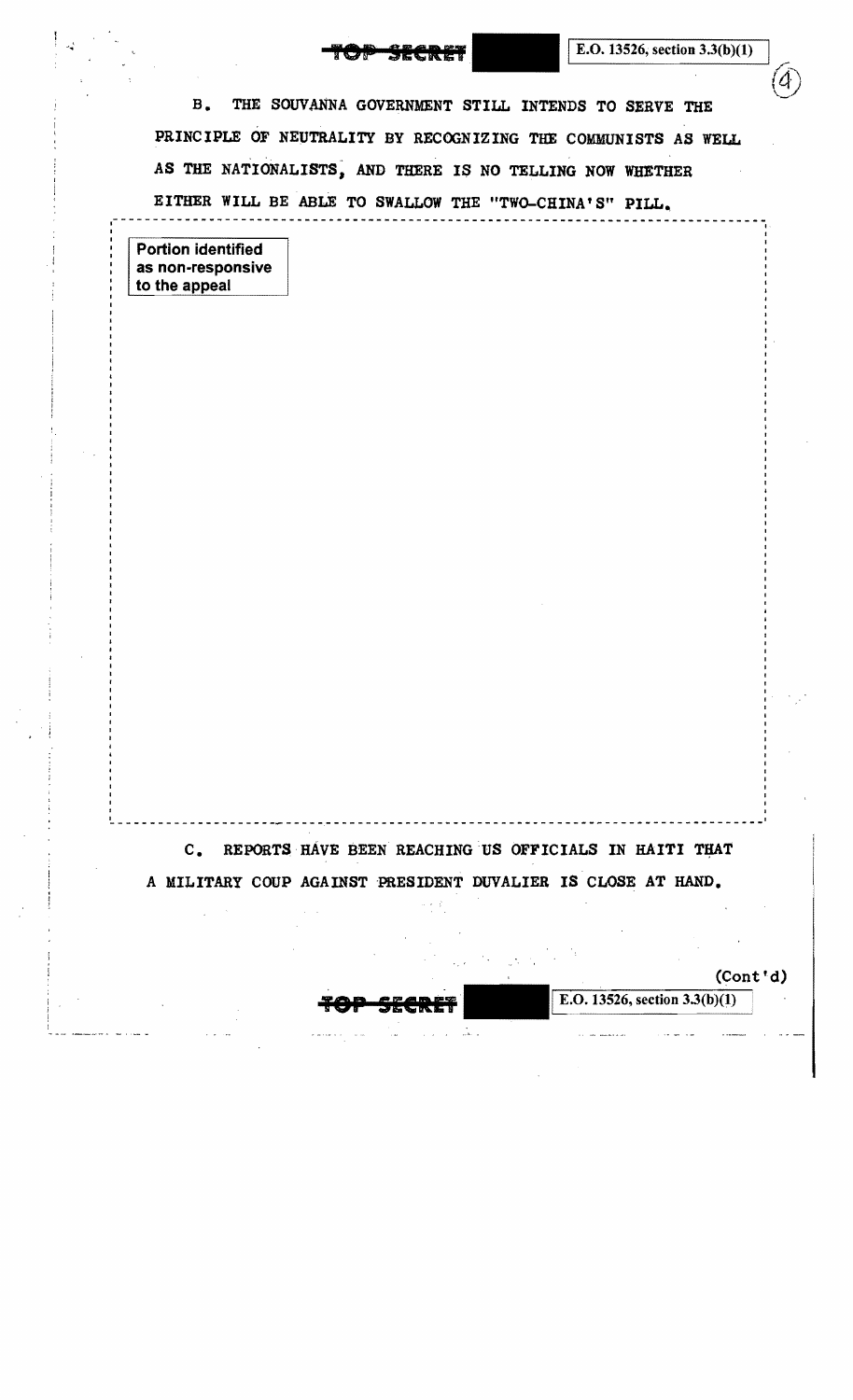E.O. 13526, section  $3.3(b)(1)$ 

 $\mathcal{I}$ 

 $\circled{4}$ 

B. THE SOUVANNA GOVERNMENT STILL INTENDS TO SERVE THE PRINCIPLE OF NEUTRALITY BY RECOGNIZING THE COMMUNISTS AS WELL AS THE NATIONALISTS, AND THERE IS NO TELLING NOW WHETHER EITHER WILL BE ABLE TO SWALLOW THE "TWO-CHINA'S" PILL.

.<br>.<br>.

Portion identified as non-responsive to the appeal

I I

I

C. REPORTS HAVE BEEN REACHING US OFFICIALS IN HAITI THAT A MILITARY COUP AGAINST 'PRESIDENT DUVALIER IS CLOSE AT HAND.

~--------------------- ----------------------------------------------------------

(Cont'd)

**E.O.** 13526, section 3.3(b)(1)